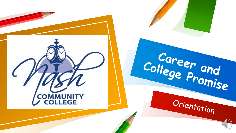

College Promise

Orientation

 $\mathscr{C}_{\mathcal{O}}$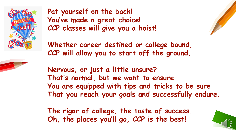

**Pat yourself on the back! You've made a great choice! CCP classes will give you a hoist!**



**Whether career destined or college bound, CCP will allow you to start off the ground.**

**Nervous, or just a little unsure? That's normal, but we want to ensure You are equipped with tips and tricks to be sure That you reach your goals and successfully endure.**

**The rigor of college, the taste of success. Oh, the places you'll go, CCP is the best!**

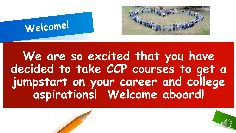



**We are so excited that you have decided to take CCP courses to get a jumpstart on your career and college aspirations! Welcome aboard!**

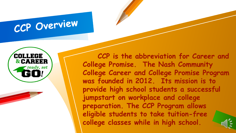### CCP Overview



**CCP is the abbreviation for Career and College Promise. The Nash Community College Career and College Promise Program was founded in 2012. Its mission is to provide high school students a successful jumpstart on workplace and college preparation. The CCP Program allows eligible students to take tuition-free college classes while in high school.** 

 $200^{\circ}$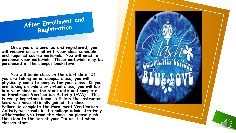

**Once you are enrolled and registered, you will receive an e-mail with your class schedule and required course materials. You will need to purchase your materials. These materials may be purchased at the campus bookstore.** 

**You will begin class on the start date. If you are taking an on campus class, you will physically come to campus for your class. If you are taking an online or virtual class, you will log into your class on the start date and complete an Enrollment Verification Activity (EVA). This is really important because it lets the instructor know you have officially joined the class. Failure to complete the Enrollment Verification Activity will result in the college administratively withdrawing you from the class, so please push this item to the top of your "to do" list when classes start.**

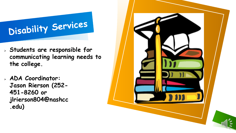## Disability Services

- **Students are responsible for communicating learning needs to the college.**
- **ADA Coordinator: Jason Rierson (252- 451-8260 or jlrierson804@nashcc .edu)**

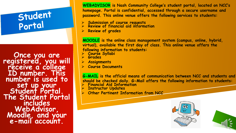## Student<br>Portal

**Once you are registered, you will receive a college ID number. This number is used to Student Portal.**<br>The Student Portal **includes WebAdvisor, Moodle, and your e-mail account.**

**WEBADVISOR is Nash Community College's student portal, located on NCC's homepage. Portal is confidential, accessed through a secure username and password. This online venue offers the following services to students:**

- **Submission of course requests Review of financial aid information**
- 
- **Review of grades**

**MOODLE is the online class management system (campus, online, hybrid, virtual), available the first day of class. This online venue offers the following information to students:**

- **Course Syllabi Grades**
- 
- **Assignments**
- **Course Documents**

**G-MAIL is the official means of communication between NCC and students and should be checked daily. G-Mail offers the following information to students: Financial Aid Information**

- 
- **Instructor Updates**
- **Other Pertinent Information from NCC**



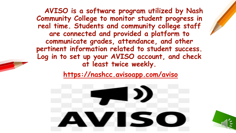**AVISO is a software program utilized by Nash Community College to monitor student progress in real time. Students and community college staff are connected and provided a platform to communicate grades, attendance, and other pertinent information related to student success. Log in to set up your AVISO account, and check at least twice weekly.**

**[https://nashcc.avisoapp.com/aviso](https://nashcc.avisoapp.com/aviso/advisor/home)**

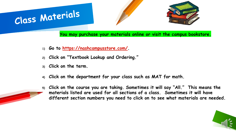#### **You may purchase your materials online or visit the campus bookstore.**

- **1) Go to <https://nashcampusstore.com/>.**
- **2) Click on "Textbook Lookup and Ordering."**
- **3) Click on the term.**

Class Materials

- **4) Click on the department for your class such as MAT for math.**
- **5) Click on the course you are taking. Sometimes it will say "All." This means the materials listed are used for all sections of a class. Sometimes it will have different section numbers you need to click on to see what materials are needed.**

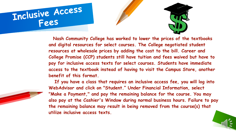



**Nash Community College has worked to lower the prices of the textbooks and digital resources for select courses. The College negotiated student resources at wholesale prices by adding the cost to the bill. Career and College Promise (CCP) students still have tuition and fees waived but have to pay for inclusive access texts for select courses. Students have immediate access to the textbook instead of having to visit the Campus Store, another benefit of this format.**

**If you have a class that requires an inclusive access fee, you will log into WebAdvisor and click on "Student." Under Financial Information, select "Make a Payment," and pay the remaining balance for the course. You may also pay at the Cashier's Window during normal business hours. Failure to pay the remaining balance may result in being removed from the course(s) that utilize inclusive access texts.**

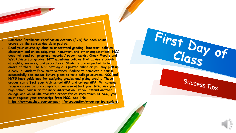**Complete Enrollment Verification Activity (EVA) for each online course by the census due date posted.**

 **Read your course syllabus to understand grading, late work policies, classroom and online etiquette, homework and other expectations. NCC does not send out progress reports / report cards. Check Moodle and WebAdvisor for grades. NCC maintains policies that advise students of rights, services, and procedures. Students are expected to be aware of them. The NCC catalogue is posted online or you may pick up a copy in Student Enrollment Services. Failure to complete a course successfully can impact future plans to take college courses. NCC and NCPS have guidelines for assigning grades and giving credit. These grades can affect your high school GPA and college GPA. Withdrawal from a course before completion can also affect your GPA. Ask your high school counselor for more information. If you attend another college and would like transfer credit for courses taken at NCC, you must request your transcript from NCC. See link: [https://www.nashcc.edu/campus](https://www.nashcc.edu/campus-life/graduation/ordering-transcripts)- [life/graduation/ordering](https://www.nashcc.edu/campus-life/graduation/ordering-transcripts)-transcripts.**



First Day of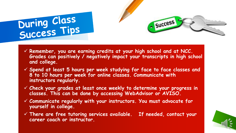# During Class<br>Success Tips

 **Remember, you are earning credits at your high school and at NCC. Grades can positively / negatively impact your transcripts in high school and college.**

Success

- **Spend at least 5 hours per week studying for face to face classes and 8 to 10 hours per week for online classes. Communicate with instructors regularly.**
- **Check your grades at least once weekly to determine your progress in classes. This can be done by accessing WebAdvisor or AVISO.**
- **Communicate regularly with your instructors. You must advocate for yourself in college.**
- **There are free tutoring services available. If needed, contact your career coach or instructor.**

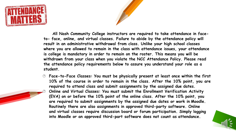



**All Nash Community College instructors are required to take attendance in faceto- face, online, and virtual classes. Failure to abide by the attendance policy will result in an administrative withdrawal from class. Unlike your high school classes where you are allowed to remain in the class with attendance issues, your attendance is college is mandatory in order to remain on the roster. This means you will be withdrawn from your class when you violate the NCC Attendance Policy. Please read the attendance policy requirements below to assure you understand your role as a student.**

 **Face-to-Face Classes: You must be physically present at least once within the first 10% of the course in order to remain in the class. After the 10% point, you are required to attend class and submit assignments by the assigned due dates. Online and Virtual Classes: You must submit the Enrollment Verification Activity (EVA) on or before the 10% point of the online class. After the 10% point, you are required to submit assignments by the assigned due dates or work in Moodle. Routinely there are also assignments in approved third-party software. Online and virtual classes require discussion board or forum participation. Simply logging into Moodle or an approved third-part software does not count as attendance.**

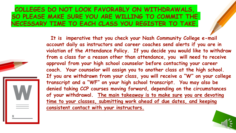#### **COLLEGES DO NOT LOOK FAVORABLY ON WITHDRAWALS, SO PLEASE MAKE SURE YOU ARE WILLING TO COMMIT THE NECESSARY TIME TO EACH CLASS YOU REGISTER TO TAKE.**

**It is imperative that you check your Nash Community College e-mail account daily as instructors and career coaches send alerts if you are in**  violation of the Attendance Policy. If you decide you would like to withdraw **from a class for a reason other than attendance, you will need to receive approval from your high school counselor before contacting your career coach. Your counselor will assign you to another class at the high school.**  If you are withdrawn from your class, you will receive a "W" on your college **transcript and a "WF" on your high school transcript. You may also be**  denied taking CCP courses moving forward, depending on the circumstances of your withdrawal. The main takeaway is to make sure you are devoting time to your classes, submitting work ahead of due dates, and keeping **consistent contact with your instructors.**

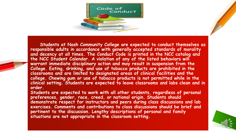

**Students at Nash Community College are expected to conduct themselves as responsible adults in accordance with generally accepted standards of morality and decency at all times. The Conduct Code is printed in the NCC catalog and the NCC Student Calendar. A violation of any of the listed behaviors will warrant immediate disciplinary action and may result in suspension from the College. Eating, drinking, and use of tobacco products are prohibited in the classrooms and are limited to designated areas of clinical facilities and the college. Chewing gum or use of tobacco products is not permitted while in the clinical setting. Students are expected to leave classrooms and labs clean and in order.**

**Students are expected to work with all other students, regardless of personal preferences, gender, race, creed, or national origin. Students should demonstrate respect for instructors and peers during class discussions and lab exercises. Comments and contributions to class discussions should be brief and pertinent to the discussion. Lengthy descriptions of personal and family situations are not appropriate in the classroom setting.**

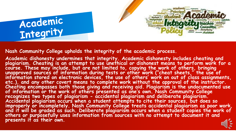



**Nash Community College upholds the integrity of the academic process.**

**Academic dishonesty undermines that integrity. Academic dishonesty includes cheating and plagiarism. Cheating is an attempt to use unethical or dishonest means to perform work for a course. These may include, but are not limited to, copying the work of others, bringing unapproved sources of information during tests or other work ("cheat sheets," the use of information stored on electronic devices, the use of others' work on out of class assignments, etc.), and any other covert means to complete work without the approval of the instructor. Cheating encompasses both those giving and receiving aid. Plagiarism is the undocumented use of information or the work of others presented as one's own. Nash Community College**  recognizes two types of plagiarism - accidental plagiarism and deliberate plagiarism.<br>Accidental plagiarism occurs when a student attempts to cite their sources, but does so **improperly or incompletely. Nash Community College treats accidental plagiarism as poor work, and it will be graded as such. Deliberate plagiarism occurs when a student copies the work of others or purposefully uses information from sources with no attempt to document it and presents it as their own.**

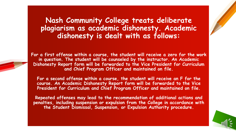**Nash Community College treats deliberate plagiarism as academic dishonesty. Academic dishonesty is dealt with as follows:**

**For a first offense within a course, the student will receive a zero for the work in question. The student will be counseled by the instructor. An Academic Dishonesty Report form will be forwarded to the Vice President for Curriculum and Chief Program Officer and maintained on file.**

**For a second offense within a course, the student will receive an F for the course. An Academic Dishonesty Report form will be forwarded to the Vice President for Curriculum and Chief Program Officer and maintained on file.**

**Repeated offenses may lead to the recommendation of additional actions and penalties, including suspension or expulsion from the College in accordance with the Student Dismissal, Suspension, or Expulsion Authority procedure.**

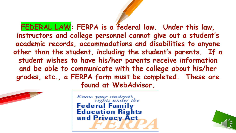**FEDERAL LAW: FERPA is a federal law. Under this law, instructors and college personnel cannot give out a student's academic records, accommodations and disabilities to anyone other than the student, including the student's parents. If a student wishes to have his/her parents receive information and be able to communicate with the college about his/her grades, etc., a FERPA form must be completed. These are found at WebAdvisor.** 



Know your student's<br>rights under the **Federal Family Education Rights** and Privacy Act

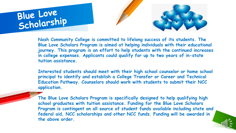





**Nash Community College is committed to lifelong success of its students. The Blue Love Scholars Program is aimed at helping individuals with their educational journey. This program is an effort to help students with the continued increases in college expenses. Applicants could qualify for up to two years of in-state tuition assistance.** 

**Interested students should meet with their high school counselor or home school principal to identify and establish a College Transfer or Career and Technical Education Pathway. Counselors should work with students to submit their NCC application.**

**The Blue Love Scholars Program is specifically designed to help qualifying high school graduates with tuition assistance. Funding for the Blue Love Scholars Program is contingent on all source of student funds available including state and federal aid, NCC scholarships and other NCC funds. Funding will be awarded in the above order.**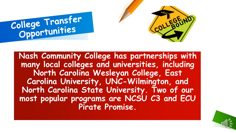



**Nash Community College has partnerships with many local colleges and universities, including North Carolina Wesleyan College, East Carolina University, UNC-Wilmington, and North Carolina State University. Two of our most popular programs are NCSU C3 and ECU Pirate Promise.**

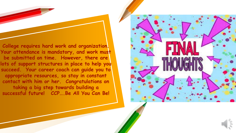**College requires hard work and organization. Your attendance is mandatory, and work must be submitted on time. However, there are**  lots of support structures in place to help you **succeed. Your career coach can guide you to appropriate resources, so stay in constant contact with him or her. Congratulations on taking a big step towards building a successful future! CCP….Be All You Can Be!** 



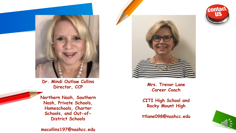

**Dr. Mindi Outlaw Collins Director, CCP**



**mocollins197@nashcc.edu**



**Mrs. Trevor Lane Career Coach**

**CITI High School and Rocky Mount High** 

**ttlane098@nashcc.edu**



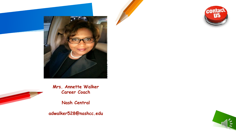



**Mrs. Annette Walker Career Coach**

**Nash Central**

**adwalker528@nashcc.edu**

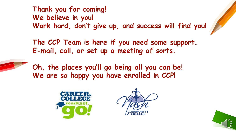**Thank you for coming! We believe in you! Work hard, don't give up, and success will find you!**

**The CCP Team is here if you need some support. E-mail, call, or set up a meeting of sorts.** 

**Oh, the places you'll go being all you can be! We are so happy you have enrolled in CCP!**